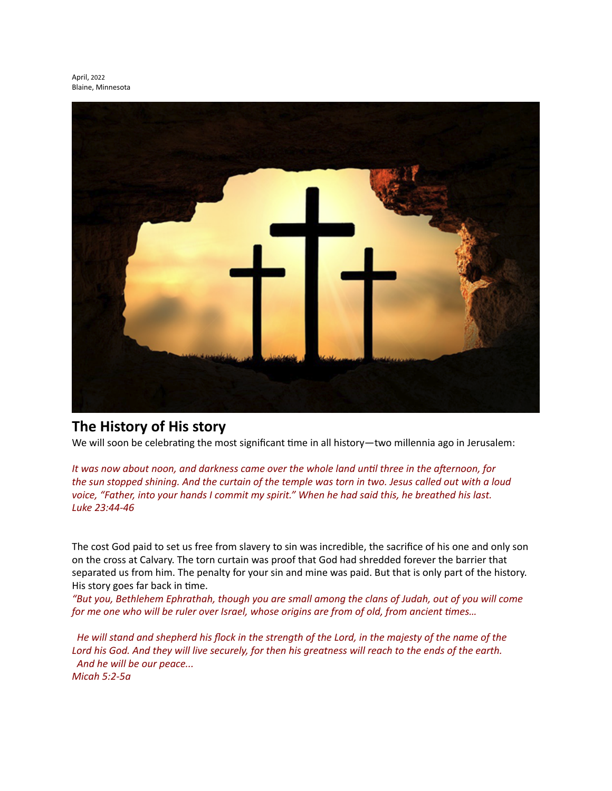

## **The History of His story**

We will soon be celebrating the most significant time in all history—two millennia ago in Jerusalem:

It was now about noon, and darkness came over the whole land until three in the afternoon, for the sun stopped shining. And the curtain of the temple was torn in two. Jesus called out with a loud voice, "Father, into your hands I commit my spirit." When he had said this, he breathed his last. *Luke 23:44-46*

The cost God paid to set us free from slavery to sin was incredible, the sacrifice of his one and only son on the cross at Calvary. The torn curtain was proof that God had shredded forever the barrier that separated us from him. The penalty for your sin and mine was paid. But that is only part of the history. His story goes far back in time.

"But you, Bethlehem Ephrathah, though you are small among the clans of Judah, out of you will come *for* me one who will be ruler over Israel, whose origins are from of old, from ancient times...

He will stand and shepherd his flock in the strength of the Lord, in the majesty of the name of the Lord his God. And they will live securely, for then his greatness will reach to the ends of the earth. And he will be our peace... *Micah 5:2-5a*